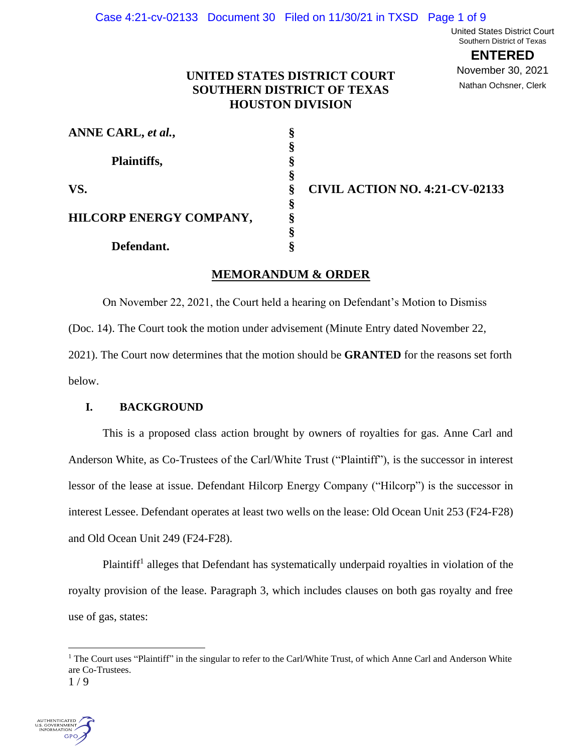United States District Court Southern District of Texas

> **ENTERED** November 30, 2021

Nathan Ochsner, Clerk

# **UNITED STATES DISTRICT COURT SOUTHERN DISTRICT OF TEXAS HOUSTON DIVISION**

| ANNE CARL, et al.,      | §  |
|-------------------------|----|
|                         | §  |
| Plaintiffs,<br>VS.      | §  |
|                         | §  |
|                         | §  |
|                         | §  |
| HILCORP ENERGY COMPANY, | §  |
|                         | §  |
| Defendant.              | \$ |

 **CIVIL ACTION NO. 4:21-CV-02133**

# **MEMORANDUM & ORDER**

On November 22, 2021, the Court held a hearing on Defendant's Motion to Dismiss (Doc. 14). The Court took the motion under advisement (Minute Entry dated November 22, 2021). The Court now determines that the motion should be **GRANTED** for the reasons set forth below.

### **I. BACKGROUND**

This is a proposed class action brought by owners of royalties for gas. Anne Carl and Anderson White, as Co-Trustees of the Carl/White Trust ("Plaintiff"), is the successor in interest lessor of the lease at issue. Defendant Hilcorp Energy Company ("Hilcorp") is the successor in interest Lessee. Defendant operates at least two wells on the lease: Old Ocean Unit 253 (F24-F28) and Old Ocean Unit 249 (F24-F28).

Plaintiff<sup>1</sup> alleges that Defendant has systematically underpaid royalties in violation of the royalty provision of the lease. Paragraph 3, which includes clauses on both gas royalty and free use of gas, states:

<sup>1</sup> / 9 <sup>1</sup> The Court uses "Plaintiff" in the singular to refer to the Carl/White Trust, of which Anne Carl and Anderson White are Co-Trustees.

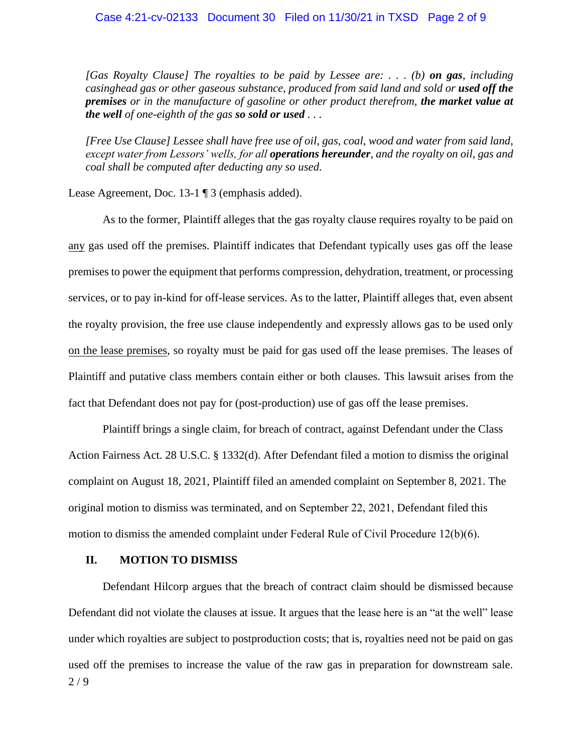#### Case 4:21-cv-02133 Document 30 Filed on 11/30/21 in TXSD Page 2 of 9

*[Gas Royalty Clause] The royalties to be paid by Lessee are: . . . (b) on gas, including casinghead gas or other gaseous substance, produced from said land and sold or used off the premises or in the manufacture of gasoline or other product therefrom, the market value at the well of one-eighth of the gas so sold or used . . .* 

*[Free Use Clause] Lessee shall have free use of oil, gas, coal, wood and water from said land, except water from Lessors' wells, for all operations hereunder, and the royalty on oil, gas and coal shall be computed after deducting any so used.*

Lease Agreement, Doc. 13-1 ¶ 3 (emphasis added).

As to the former, Plaintiff alleges that the gas royalty clause requires royalty to be paid on any gas used off the premises. Plaintiff indicates that Defendant typically uses gas off the lease premises to power the equipment that performs compression, dehydration, treatment, or processing services, or to pay in-kind for off-lease services. As to the latter, Plaintiff alleges that, even absent the royalty provision, the free use clause independently and expressly allows gas to be used only on the lease premises, so royalty must be paid for gas used off the lease premises. The leases of Plaintiff and putative class members contain either or both clauses. This lawsuit arises from the fact that Defendant does not pay for (post-production) use of gas off the lease premises.

Plaintiff brings a single claim, for breach of contract, against Defendant under the Class Action Fairness Act. 28 U.S.C. § 1332(d). After Defendant filed a motion to dismiss the original complaint on August 18, 2021, Plaintiff filed an amended complaint on September 8, 2021. The original motion to dismiss was terminated, and on September 22, 2021, Defendant filed this motion to dismiss the amended complaint under Federal Rule of Civil Procedure 12(b)(6).

### **II. MOTION TO DISMISS**

2 / 9 Defendant Hilcorp argues that the breach of contract claim should be dismissed because Defendant did not violate the clauses at issue. It argues that the lease here is an "at the well" lease under which royalties are subject to postproduction costs; that is, royalties need not be paid on gas used off the premises to increase the value of the raw gas in preparation for downstream sale.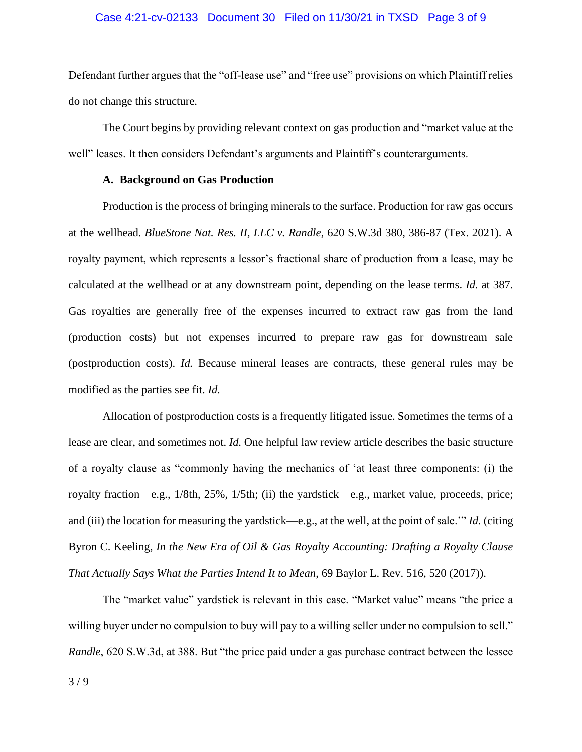#### Case 4:21-cv-02133 Document 30 Filed on 11/30/21 in TXSD Page 3 of 9

Defendant further argues that the "off-lease use" and "free use" provisions on which Plaintiff relies do not change this structure.

The Court begins by providing relevant context on gas production and "market value at the well" leases. It then considers Defendant's arguments and Plaintiff's counterarguments.

#### **A. Background on Gas Production**

Production is the process of bringing minerals to the surface. Production for raw gas occurs at the wellhead. *BlueStone Nat. Res. II, LLC v. Randle*, 620 S.W.3d 380, 386-87 (Tex. 2021). A royalty payment, which represents a lessor's fractional share of production from a lease, may be calculated at the wellhead or at any downstream point, depending on the lease terms. *Id.* at 387. Gas royalties are generally free of the expenses incurred to extract raw gas from the land (production costs) but not expenses incurred to prepare raw gas for downstream sale (postproduction costs). *Id.* Because mineral leases are contracts, these general rules may be modified as the parties see fit. *Id.*

Allocation of postproduction costs is a frequently litigated issue. Sometimes the terms of a lease are clear, and sometimes not. *Id.* One helpful law review article describes the basic structure of a royalty clause as "commonly having the mechanics of 'at least three components: (i) the royalty fraction—e.g., 1/8th, 25%, 1/5th; (ii) the yardstick—e.g., market value, proceeds, price; and (iii) the location for measuring the yardstick—e.g., at the well, at the point of sale.'" *Id.* (citing Byron C. Keeling, *In the New Era of Oil & Gas Royalty Accounting: Drafting a Royalty Clause That Actually Says What the Parties Intend It to Mean*, 69 Baylor L. Rev. 516, 520 (2017)).

The "market value" yardstick is relevant in this case. "Market value" means "the price a willing buyer under no compulsion to buy will pay to a willing seller under no compulsion to sell." *Randle*, 620 S.W.3d, at 388. But "the price paid under a gas purchase contract between the lessee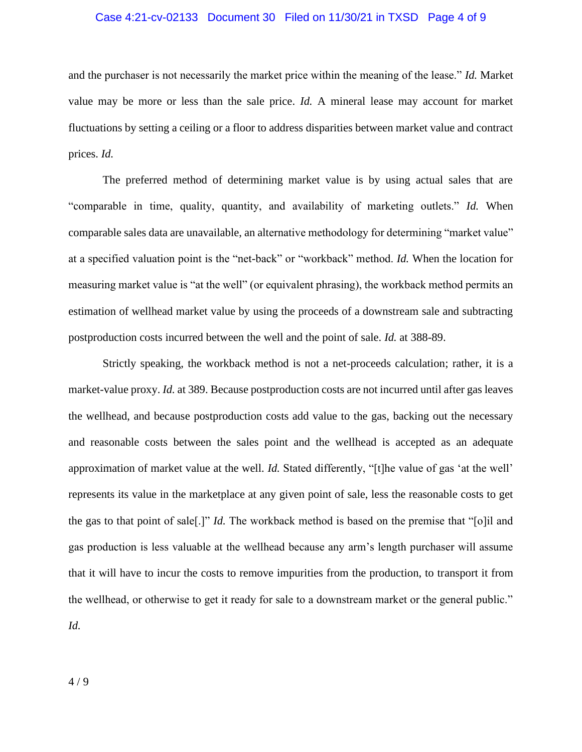#### Case 4:21-cv-02133 Document 30 Filed on 11/30/21 in TXSD Page 4 of 9

and the purchaser is not necessarily the market price within the meaning of the lease." *Id.* Market value may be more or less than the sale price. *Id.* A mineral lease may account for market fluctuations by setting a ceiling or a floor to address disparities between market value and contract prices. *Id.*

The preferred method of determining market value is by using actual sales that are "comparable in time, quality, quantity, and availability of marketing outlets." *Id.* When comparable sales data are unavailable, an alternative methodology for determining "market value" at a specified valuation point is the "net-back" or "workback" method. *Id.* When the location for measuring market value is "at the well" (or equivalent phrasing), the workback method permits an estimation of wellhead market value by using the proceeds of a downstream sale and subtracting postproduction costs incurred between the well and the point of sale. *Id.* at 388-89.

Strictly speaking, the workback method is not a net-proceeds calculation; rather, it is a market-value proxy. *Id.* at 389. Because postproduction costs are not incurred until after gas leaves the wellhead, and because postproduction costs add value to the gas, backing out the necessary and reasonable costs between the sales point and the wellhead is accepted as an adequate approximation of market value at the well. *Id.* Stated differently, "[t]he value of gas 'at the well' represents its value in the marketplace at any given point of sale, less the reasonable costs to get the gas to that point of sale[.]" *Id.* The workback method is based on the premise that "[o]il and gas production is less valuable at the wellhead because any arm's length purchaser will assume that it will have to incur the costs to remove impurities from the production, to transport it from the wellhead, or otherwise to get it ready for sale to a downstream market or the general public." *Id.*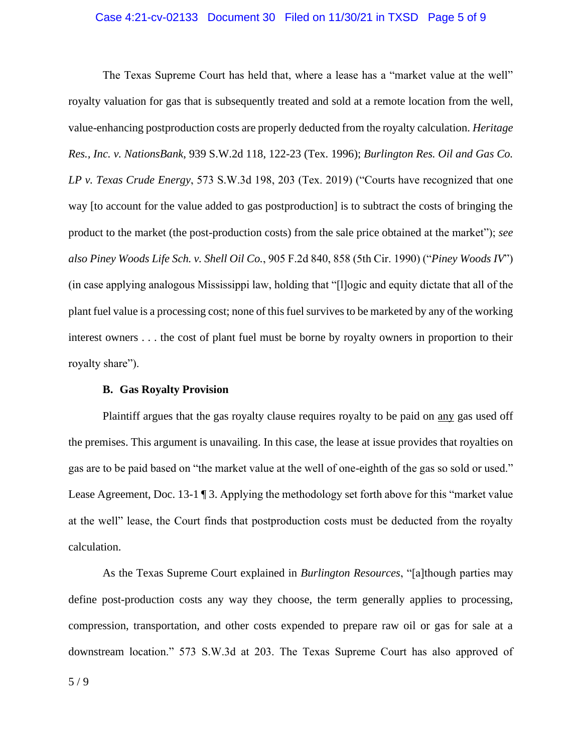#### Case 4:21-cv-02133 Document 30 Filed on 11/30/21 in TXSD Page 5 of 9

The Texas Supreme Court has held that, where a lease has a "market value at the well" royalty valuation for gas that is subsequently treated and sold at a remote location from the well, value-enhancing postproduction costs are properly deducted from the royalty calculation. *Heritage Res., Inc. v. NationsBank*, 939 S.W.2d 118, 122-23 (Tex. 1996); *Burlington Res. Oil and Gas Co. LP v. Texas Crude Energy*, 573 S.W.3d 198, 203 (Tex. 2019) ("Courts have recognized that one way [to account for the value added to gas postproduction] is to subtract the costs of bringing the product to the market (the post-production costs) from the sale price obtained at the market"); *see also Piney Woods Life Sch. v. Shell Oil Co.*, 905 F.2d 840, 858 (5th Cir. 1990) ("*Piney Woods IV*") (in case applying analogous Mississippi law, holding that "[l]ogic and equity dictate that all of the plant fuel value is a processing cost; none of this fuel survives to be marketed by any of the working interest owners . . . the cost of plant fuel must be borne by royalty owners in proportion to their royalty share").

#### **B. Gas Royalty Provision**

Plaintiff argues that the gas royalty clause requires royalty to be paid on any gas used off the premises. This argument is unavailing. In this case, the lease at issue provides that royalties on gas are to be paid based on "the market value at the well of one-eighth of the gas so sold or used." Lease Agreement, Doc. 13-1 ¶ 3. Applying the methodology set forth above for this "market value at the well" lease, the Court finds that postproduction costs must be deducted from the royalty calculation.

As the Texas Supreme Court explained in *Burlington Resources*, "[a]though parties may define post-production costs any way they choose, the term generally applies to processing, compression, transportation, and other costs expended to prepare raw oil or gas for sale at a downstream location." 573 S.W.3d at 203. The Texas Supreme Court has also approved of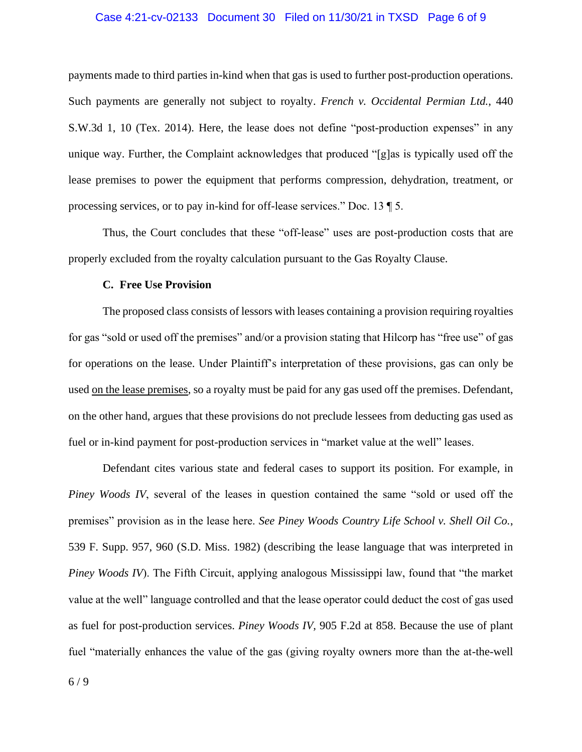#### Case 4:21-cv-02133 Document 30 Filed on 11/30/21 in TXSD Page 6 of 9

payments made to third parties in-kind when that gas is used to further post-production operations. Such payments are generally not subject to royalty. *French v. Occidental Permian Ltd.*, 440 S.W.3d 1, 10 (Tex. 2014). Here, the lease does not define "post-production expenses" in any unique way. Further, the Complaint acknowledges that produced "[g]as is typically used off the lease premises to power the equipment that performs compression, dehydration, treatment, or processing services, or to pay in-kind for off-lease services." Doc. 13 ¶ 5.

Thus, the Court concludes that these "off-lease" uses are post-production costs that are properly excluded from the royalty calculation pursuant to the Gas Royalty Clause.

#### **C. Free Use Provision**

The proposed class consists of lessors with leases containing a provision requiring royalties for gas "sold or used off the premises" and/or a provision stating that Hilcorp has "free use" of gas for operations on the lease. Under Plaintiff's interpretation of these provisions, gas can only be used on the lease premises, so a royalty must be paid for any gas used off the premises. Defendant, on the other hand, argues that these provisions do not preclude lessees from deducting gas used as fuel or in-kind payment for post-production services in "market value at the well" leases.

Defendant cites various state and federal cases to support its position. For example, in *Piney Woods IV*, several of the leases in question contained the same "sold or used off the premises" provision as in the lease here. *See Piney Woods Country Life School v. Shell Oil Co.*, 539 F. Supp. 957, 960 (S.D. Miss. 1982) (describing the lease language that was interpreted in *Piney Woods IV*). The Fifth Circuit, applying analogous Mississippi law, found that "the market value at the well" language controlled and that the lease operator could deduct the cost of gas used as fuel for post-production services. *Piney Woods IV,* 905 F.2d at 858. Because the use of plant fuel "materially enhances the value of the gas (giving royalty owners more than the at-the-well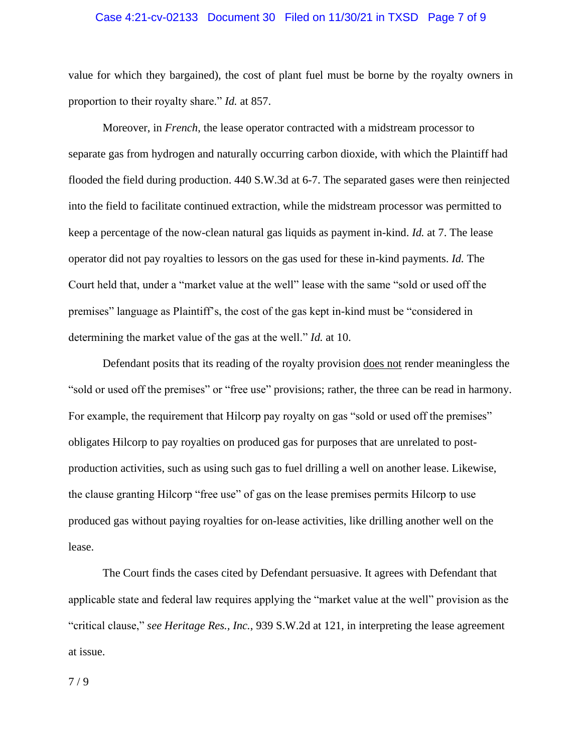#### Case 4:21-cv-02133 Document 30 Filed on 11/30/21 in TXSD Page 7 of 9

value for which they bargained), the cost of plant fuel must be borne by the royalty owners in proportion to their royalty share." *Id.* at 857.

Moreover, in *French*, the lease operator contracted with a midstream processor to separate gas from hydrogen and naturally occurring carbon dioxide, with which the Plaintiff had flooded the field during production. 440 S.W.3d at 6-7. The separated gases were then reinjected into the field to facilitate continued extraction, while the midstream processor was permitted to keep a percentage of the now-clean natural gas liquids as payment in-kind. *Id.* at 7. The lease operator did not pay royalties to lessors on the gas used for these in-kind payments. *Id.* The Court held that, under a "market value at the well" lease with the same "sold or used off the premises" language as Plaintiff's, the cost of the gas kept in-kind must be "considered in determining the market value of the gas at the well." *Id.* at 10.

Defendant posits that its reading of the royalty provision does not render meaningless the "sold or used off the premises" or "free use" provisions; rather, the three can be read in harmony. For example, the requirement that Hilcorp pay royalty on gas "sold or used off the premises" obligates Hilcorp to pay royalties on produced gas for purposes that are unrelated to postproduction activities, such as using such gas to fuel drilling a well on another lease. Likewise, the clause granting Hilcorp "free use" of gas on the lease premises permits Hilcorp to use produced gas without paying royalties for on-lease activities, like drilling another well on the lease.

The Court finds the cases cited by Defendant persuasive. It agrees with Defendant that applicable state and federal law requires applying the "market value at the well" provision as the "critical clause," *see Heritage Res., Inc.*, 939 S.W.2d at 121, in interpreting the lease agreement at issue.

7 / 9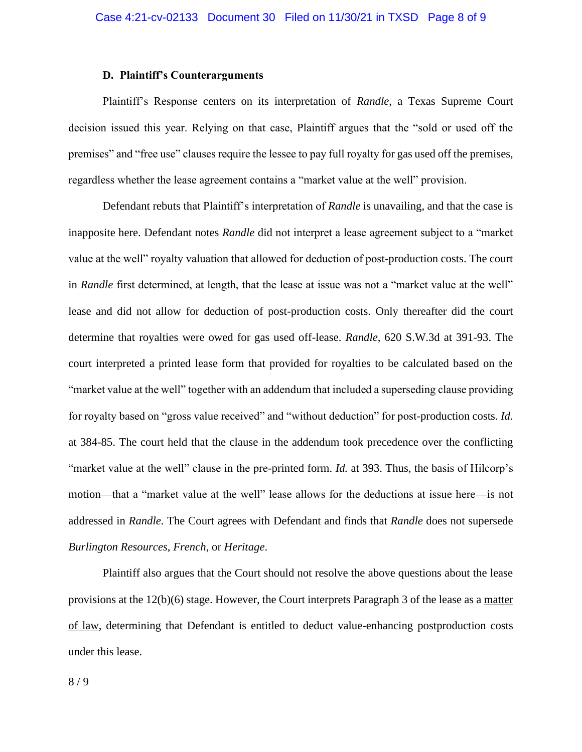### **D. Plaintiff's Counterarguments**

Plaintiff's Response centers on its interpretation of *Randle*, a Texas Supreme Court decision issued this year. Relying on that case, Plaintiff argues that the "sold or used off the premises" and "free use" clauses require the lessee to pay full royalty for gas used off the premises, regardless whether the lease agreement contains a "market value at the well" provision.

Defendant rebuts that Plaintiff's interpretation of *Randle* is unavailing, and that the case is inapposite here. Defendant notes *Randle* did not interpret a lease agreement subject to a "market value at the well" royalty valuation that allowed for deduction of post-production costs. The court in *Randle* first determined, at length, that the lease at issue was not a "market value at the well" lease and did not allow for deduction of post-production costs. Only thereafter did the court determine that royalties were owed for gas used off-lease. *Randle*, 620 S.W.3d at 391-93. The court interpreted a printed lease form that provided for royalties to be calculated based on the "market value at the well" together with an addendum that included a superseding clause providing for royalty based on "gross value received" and "without deduction" for post-production costs. *Id.* at 384-85. The court held that the clause in the addendum took precedence over the conflicting "market value at the well" clause in the pre-printed form. *Id.* at 393. Thus, the basis of Hilcorp's motion—that a "market value at the well" lease allows for the deductions at issue here—is not addressed in *Randle*. The Court agrees with Defendant and finds that *Randle* does not supersede *Burlington Resources*, *French*, or *Heritage*.

Plaintiff also argues that the Court should not resolve the above questions about the lease provisions at the 12(b)(6) stage. However, the Court interprets Paragraph 3 of the lease as a matter of law, determining that Defendant is entitled to deduct value-enhancing postproduction costs under this lease.